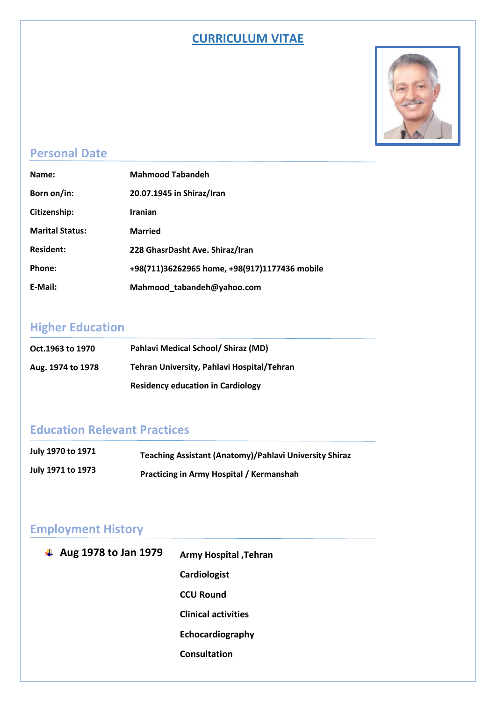#### **CURRICULUM VITAE**



### **Personal Date**

| Name:                  | <b>Mahmood Tabandeh</b>                       |
|------------------------|-----------------------------------------------|
| Born on/in:            | 20.07.1945 in Shiraz/Iran                     |
| Citizenship:           | <b>Iranian</b>                                |
| <b>Marital Status:</b> | <b>Married</b>                                |
| <b>Resident:</b>       | 228 GhasrDasht Ave. Shiraz/Iran               |
| Phone:                 | +98(711)36262965 home, +98(917)1177436 mobile |
| E-Mail:                | Mahmood_tabandeh@yahoo.com                    |

# **Higher Education**

| Oct.1963 to 1970  | Pahlavi Medical School/ Shiraz (MD)        |
|-------------------|--------------------------------------------|
| Aug. 1974 to 1978 | Tehran University, Pahlavi Hospital/Tehran |
|                   | <b>Residency education in Cardiology</b>   |

### **Education Relevant Practices**

| July 1970 to 1971 | Teaching Assistant (Anatomy)/Pahlavi University Shiraz |
|-------------------|--------------------------------------------------------|
| July 1971 to 1973 | <b>Practicing in Army Hospital / Kermanshah</b>        |

### **Employment History**

| Aug 1978 to Jan 1979<br>4 | Army Hospital, Tehran      |
|---------------------------|----------------------------|
|                           | Cardiologist               |
|                           | <b>CCU Round</b>           |
|                           | <b>Clinical activities</b> |
|                           | Echocardiography           |
|                           | <b>Consultation</b>        |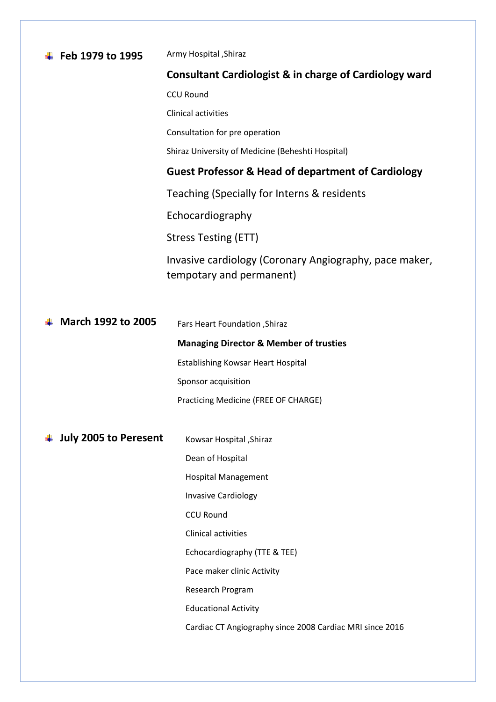| Feb 1979 to 1995             | Army Hospital , Shiraz                                                             |
|------------------------------|------------------------------------------------------------------------------------|
|                              | <b>Consultant Cardiologist &amp; in charge of Cardiology ward</b>                  |
|                              | <b>CCU Round</b>                                                                   |
|                              | <b>Clinical activities</b>                                                         |
|                              | Consultation for pre operation                                                     |
|                              | Shiraz University of Medicine (Beheshti Hospital)                                  |
|                              | <b>Guest Professor &amp; Head of department of Cardiology</b>                      |
|                              | Teaching (Specially for Interns & residents                                        |
|                              | Echocardiography                                                                   |
|                              | Stress Testing (ETT)                                                               |
|                              | Invasive cardiology (Coronary Angiography, pace maker,<br>tempotary and permanent) |
|                              |                                                                                    |
| <b>March 1992 to 2005</b>    | <b>Fars Heart Foundation, Shiraz</b>                                               |
|                              | <b>Managing Director &amp; Member of trusties</b>                                  |
|                              | <b>Establishing Kowsar Heart Hospital</b>                                          |
|                              | Sponsor acquisition                                                                |
|                              | Practicing Medicine (FREE OF CHARGE)                                               |
|                              |                                                                                    |
| <b>July 2005 to Peresent</b> | Kowsar Hospital , Shiraz                                                           |
|                              | Dean of Hospital                                                                   |
|                              | <b>Hospital Management</b>                                                         |
|                              | <b>Invasive Cardiology</b>                                                         |
|                              | <b>CCU Round</b>                                                                   |
|                              | Clinical activities                                                                |

Echocardiography (TTE & TEE)

Cardiac CT Angiography since 2008 Cardiac MRI since 2016

Pace maker clinic Activity

Research Program

Educational Activity